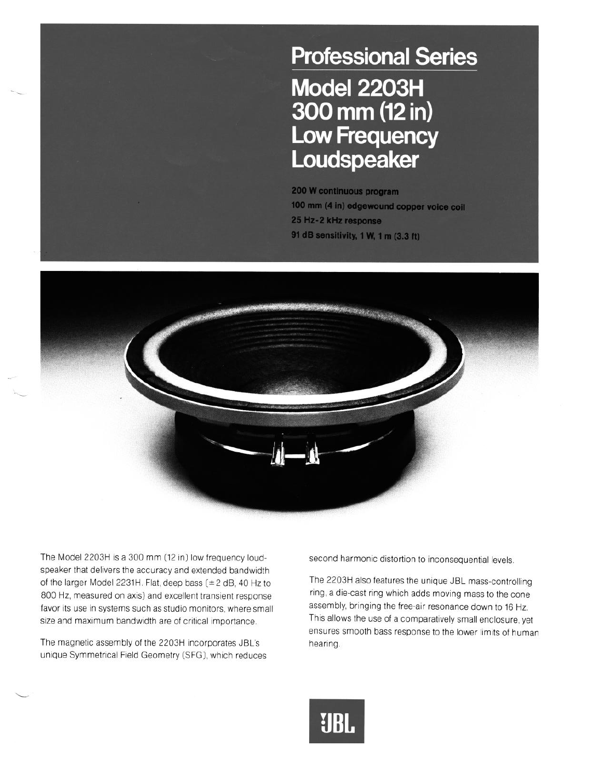## **Professional Series** Model 2203H 300 mm (12 in) **Low Frequency** Loudspeaker

200 W continuous program 100 mm (4 in) edgewound copper voice coil 25 Hz-2 kHz response 91 dB sensitivity, 1 W, 1 m (3.3 ft)



The Model 2203H is a 300 mm (12 in) low frequency loud-<br>second harmonic distortion to inconsequential levels. speaker that delivers the accuracy and extended bandwidth of the larger Model 2231H. Flat, deep bass  $(\pm 2$  dB, 40 Hz to The 2203H also features the unique JBL mass-controlling 800 Hz, measured on axis) and excellent transient response ring, a die-cast ring which adds moving mass to the cone<br>favor its use in systems such as studio monitors where small assembly, bringing the free-air resonance dow favor its use in systems such as studio monitors, where small assembly, bringing the free-air resonance down to 16 Hz.<br>size and maximum bandwidth are of critical importance This allows the use of a comparatively small encl size and maximum bandwidth are of critical importance.

The magnetic assembly of the 2203H incorporates JBL's hearing. unique Symmetrical Field Geometry (SFG), which reduces

ensures smooth bass response to the lower limits of human